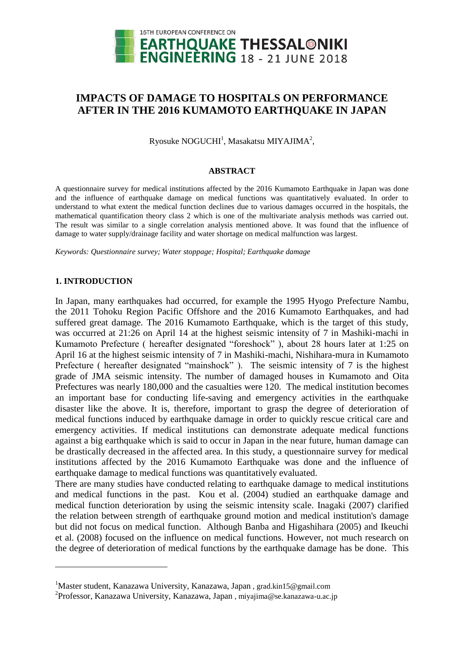

# **IMPACTS OF DAMAGE TO HOSPITALS ON PERFORMANCE AFTER IN THE 2016 KUMAMOTO EARTHQUAKE IN JAPAN**

Ryosuke  $\mathrm{NOGUCH}^1$ , Masakatsu MIYAJIMA $^2$ ,

#### **ABSTRACT**

A questionnaire survey for medical institutions affected by the 2016 Kumamoto Earthquake in Japan was done and the influence of earthquake damage on medical functions was quantitatively evaluated. In order to understand to what extent the medical function declines due to various damages occurred in the hospitals, the mathematical quantification theory class 2 which is one of the multivariate analysis methods was carried out. The result was similar to a single correlation analysis mentioned above. It was found that the influence of damage to water supply/drainage facility and water shortage on medical malfunction was largest.

*Keywords: Questionnaire survey; Water stoppage; Hospital; Earthquake damage*

## **1. INTRODUCTION**

l

In Japan, many earthquakes had occurred, for example the 1995 Hyogo Prefecture Nambu, the 2011 Tohoku Region Pacific Offshore and the 2016 Kumamoto Earthquakes, and had suffered great damage. The 2016 Kumamoto Earthquake, which is the target of this study, was occurred at 21:26 on April 14 at the highest seismic intensity of 7 in Mashiki-machi in Kumamoto Prefecture ( hereafter designated "foreshock" ), about 28 hours later at 1:25 on April 16 at the highest seismic intensity of 7 in Mashiki-machi, Nishihara-mura in Kumamoto Prefecture ( hereafter designated "mainshock" ). The seismic intensity of 7 is the highest grade of JMA seismic intensity. The number of damaged houses in Kumamoto and Oita Prefectures was nearly 180,000 and the casualties were 120. The medical institution becomes an important base for conducting life-saving and emergency activities in the earthquake disaster like the above. It is, therefore, important to grasp the degree of deterioration of medical functions induced by earthquake damage in order to quickly rescue critical care and emergency activities. If medical institutions can demonstrate adequate medical functions against a big earthquake which is said to occur in Japan in the near future, human damage can be drastically decreased in the affected area. In this study, a questionnaire survey for medical institutions affected by the 2016 Kumamoto Earthquake was done and the influence of earthquake damage to medical functions was quantitatively evaluated.

There are many studies have conducted relating to earthquake damage to medical institutions and medical functions in the past. Kou et al. (2004) studied an earthquake damage and medical function deterioration by using the seismic intensity scale. Inagaki (2007) clarified the relation between strength of earthquake ground motion and medical institution's damage but did not focus on medical function. Although Banba and Higashihara (2005) and Ikeuchi et al. (2008) focused on the influence on medical functions. However, not much research on the degree of deterioration of medical functions by the earthquake damage has be done. This

<sup>&</sup>lt;sup>1</sup>Master student, Kanazawa University, Kanazawa, Japan, grad.kin15@gmail.com

<sup>&</sup>lt;sup>2</sup> Professor, Kanazawa University, Kanazawa, Japan, miyajima@se.kanazawa-u.ac.jp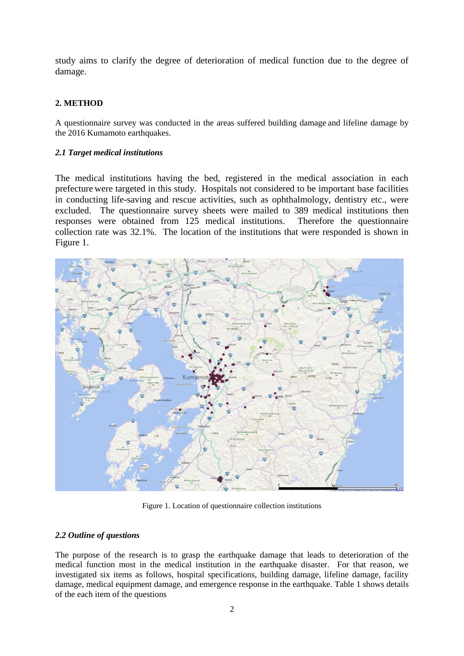study aims to clarify the degree of deterioration of medical function due to the degree of damage.

## **2. METHOD**

A questionnaire survey was conducted in the areas suffered building damage and lifeline damage by the 2016 Kumamoto earthquakes.

## *2.1 Target medical institutions*

The medical institutions having the bed, registered in the medical association in each prefecture were targeted in this study. Hospitals not considered to be important base facilities in conducting life-saving and rescue activities, such as ophthalmology, dentistry etc., were excluded. The questionnaire survey sheets were mailed to 389 medical institutions then responses were obtained from 125 medical institutions. Therefore the questionnaire collection rate was 32.1%. The location of the institutions that were responded is shown in Figure 1.



Figure 1. Location of questionnaire collection institutions

## *2.2 Outline of questions*

The purpose of the research is to grasp the earthquake damage that leads to deterioration of the medical function most in the medical institution in the earthquake disaster. For that reason, we investigated six items as follows, hospital specifications, building damage, lifeline damage, facility damage, medical equipment damage, and emergence response in the earthquake. Table 1 shows details of the each item of the questions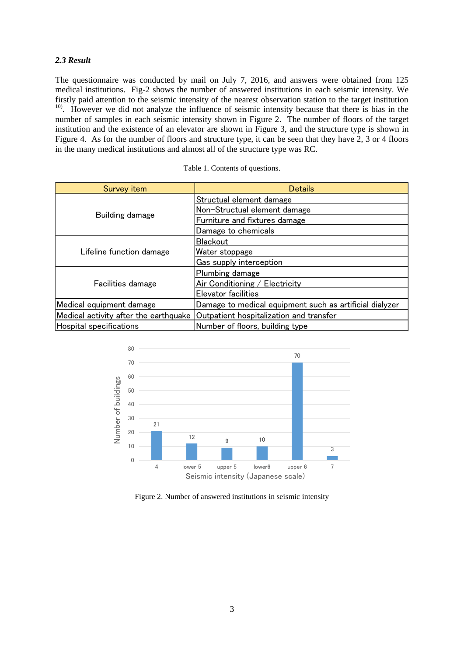## *2.3 Result*

The questionnaire was conducted by mail on July 7, 2016, and answers were obtained from 125 medical institutions. Fig-2 shows the number of answered institutions in each seismic intensity. We firstly paid attention to the seismic intensity of the nearest observation station to the target institution <sup>10)</sup>. However we did not analyze the influence of seismic intensity because that there is bias in the number of samples in each seismic intensity shown in Figure 2. The number of floors of the target institution and the existence of an elevator are shown in Figure 3, and the structure type is shown in Figure 4. As for the number of floors and structure type, it can be seen that they have 2, 3 or 4 floors in the many medical institutions and almost all of the structure type was RC.

| Survey item                           | <b>Details</b>                                          |
|---------------------------------------|---------------------------------------------------------|
|                                       | Structual element damage                                |
|                                       | Non-Structual element damage                            |
| Building damage                       | Furniture and fixtures damage                           |
|                                       | Damage to chemicals                                     |
|                                       | <b>Blackout</b>                                         |
| Lifeline function damage              | Water stoppage                                          |
|                                       | Gas supply interception                                 |
|                                       | Plumbing damage                                         |
| Facilities damage                     | Air Conditioning / Electricity                          |
|                                       | Elevator facilities                                     |
| Medical equipment damage              | Damage to medical equipment such as artificial dialyzer |
| Medical activity after the earthquake | Outpatient hospitalization and transfer                 |
| Hospital specifications               | Number of floors, building type                         |

| Table 1. Contents of questions. |  |
|---------------------------------|--|
|---------------------------------|--|



Figure 2. Number of answered institutions in seismic intensity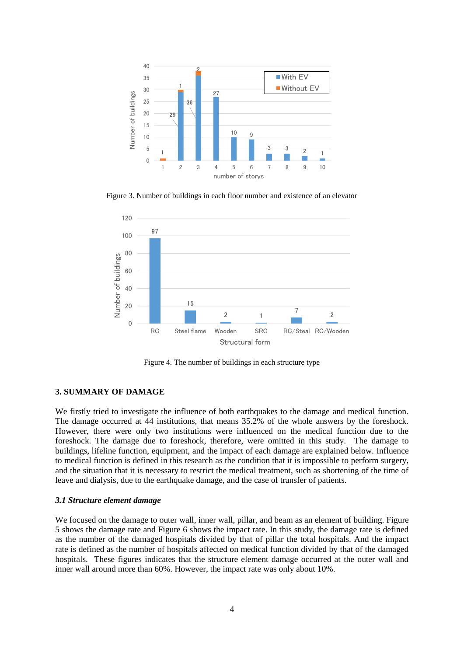

Figure 3. Number of buildings in each floor number and existence of an elevator



Figure 4. The number of buildings in each structure type

## **3. SUMMARY OF DAMAGE**

We firstly tried to investigate the influence of both earthquakes to the damage and medical function. The damage occurred at 44 institutions, that means 35.2% of the whole answers by the foreshock. However, there were only two institutions were influenced on the medical function due to the foreshock. The damage due to foreshock, therefore, were omitted in this study. The damage to buildings, lifeline function, equipment, and the impact of each damage are explained below. Influence to medical function is defined in this research as the condition that it is impossible to perform surgery, and the situation that it is necessary to restrict the medical treatment, such as shortening of the time of leave and dialysis, due to the earthquake damage, and the case of transfer of patients.

#### *3.1 Structure element damage*

We focused on the damage to outer wall, inner wall, pillar, and beam as an element of building. Figure 5 shows the damage rate and Figure 6 shows the impact rate. In this study, the damage rate is defined as the number of the damaged hospitals divided by that of pillar the total hospitals. And the impact rate is defined as the number of hospitals affected on medical function divided by that of the damaged hospitals. These figures indicates that the structure element damage occurred at the outer wall and inner wall around more than 60%. However, the impact rate was only about 10%.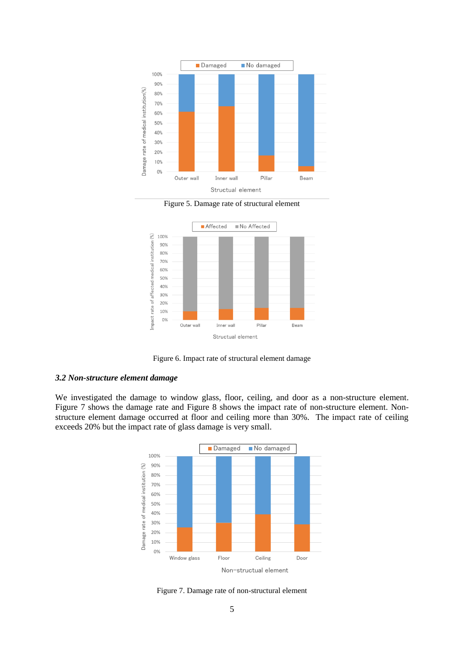





Figure 6. Impact rate of structural element damage

#### *3.2 Non-structure element damage*

We investigated the damage to window glass, floor, ceiling, and door as a non-structure element. Figure 7 shows the damage rate and Figure 8 shows the impact rate of non-structure element. Nonstructure element damage occurred at floor and ceiling more than 30%. The impact rate of ceiling exceeds 20% but the impact rate of glass damage is very small.



Figure 7. Damage rate of non-structural element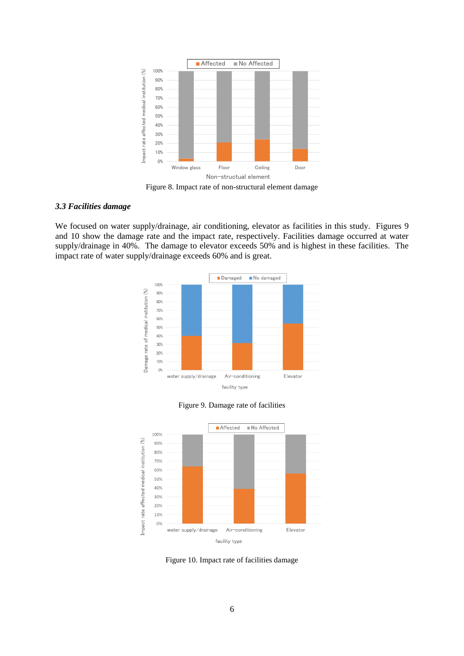

Figure 8. Impact rate of non-structural element damage

## *3.3 Facilities damage*

We focused on water supply/drainage, air conditioning, elevator as facilities in this study. Figures 9 and 10 show the damage rate and the impact rate, respectively. Facilities damage occurred at water supply/drainage in 40%. The damage to elevator exceeds 50% and is highest in these facilities. The impact rate of water supply/drainage exceeds 60% and is great.



Figure 9. Damage rate of facilities



Figure 10. Impact rate of facilities damage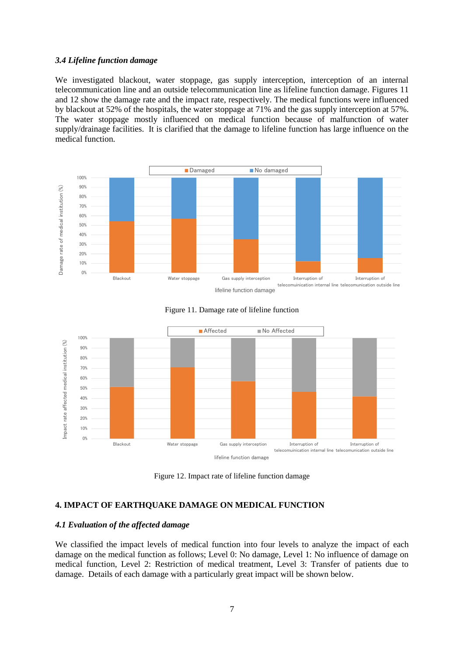#### *3.4 Lifeline function damage*

We investigated blackout, water stoppage, gas supply interception, interception of an internal telecommunication line and an outside telecommunication line as lifeline function damage. Figures 11 and 12 show the damage rate and the impact rate, respectively. The medical functions were influenced by blackout at 52% of the hospitals, the water stoppage at 71% and the gas supply interception at 57%. The water stoppage mostly influenced on medical function because of malfunction of water supply/drainage facilities. It is clarified that the damage to lifeline function has large influence on the medical function.





Figure 11. Damage rate of lifeline function

Figure 12. Impact rate of lifeline function damage

## **4. IMPACT OF EARTHQUAKE DAMAGE ON MEDICAL FUNCTION**

#### *4.1 Evaluation of the affected damage*

We classified the impact levels of medical function into four levels to analyze the impact of each damage on the medical function as follows; Level 0: No damage, Level 1: No influence of damage on medical function, Level 2: Restriction of medical treatment, Level 3: Transfer of patients due to damage. Details of each damage with a particularly great impact will be shown below.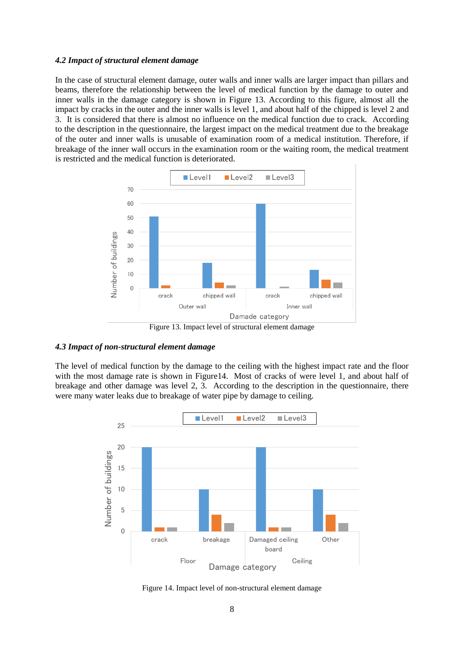#### *4.2 Impact of structural element damage*

In the case of structural element damage, outer walls and inner walls are larger impact than pillars and beams, therefore the relationship between the level of medical function by the damage to outer and inner walls in the damage category is shown in Figure 13. According to this figure, almost all the impact by cracks in the outer and the inner walls is level 1, and about half of the chipped is level 2 and 3. It is considered that there is almost no influence on the medical function due to crack. According to the description in the questionnaire, the largest impact on the medical treatment due to the breakage of the outer and inner walls is unusable of examination room of a medical institution. Therefore, if breakage of the inner wall occurs in the examination room or the waiting room, the medical treatment is restricted and the medical function is deteriorated.



#### *4.3 Impact of non-structural element damage*

The level of medical function by the damage to the ceiling with the highest impact rate and the floor with the most damage rate is shown in Figure14. Most of cracks of were level 1, and about half of breakage and other damage was level 2, 3. According to the description in the questionnaire, there were many water leaks due to breakage of water pipe by damage to ceiling.



Figure 14. Impact level of non-structural element damage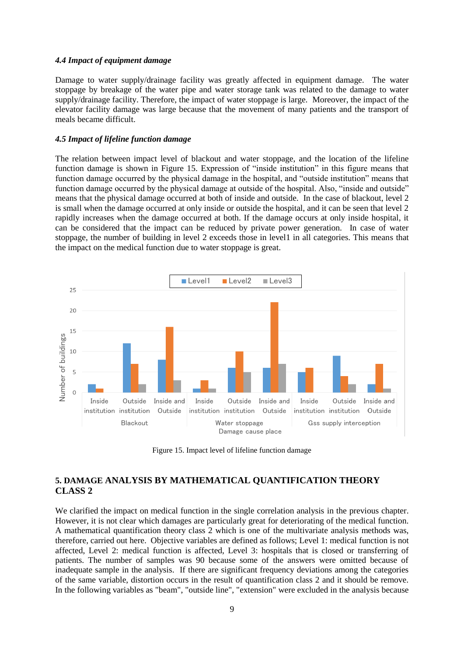#### *4.4 Impact of equipment damage*

Damage to water supply/drainage facility was greatly affected in equipment damage. The water stoppage by breakage of the water pipe and water storage tank was related to the damage to water supply/drainage facility. Therefore, the impact of water stoppage is large. Moreover, the impact of the elevator facility damage was large because that the movement of many patients and the transport of meals became difficult.

#### *4.5 Impact of lifeline function damage*

The relation between impact level of blackout and water stoppage, and the location of the lifeline function damage is shown in Figure 15. Expression of "inside institution" in this figure means that function damage occurred by the physical damage in the hospital, and "outside institution" means that function damage occurred by the physical damage at outside of the hospital. Also, "inside and outside" means that the physical damage occurred at both of inside and outside. In the case of blackout, level 2 is small when the damage occurred at only inside or outside the hospital, and it can be seen that level 2 rapidly increases when the damage occurred at both. If the damage occurs at only inside hospital, it can be considered that the impact can be reduced by private power generation. In case of water stoppage, the number of building in level 2 exceeds those in level1 in all categories. This means that the impact on the medical function due to water stoppage is great.



Figure 15. Impact level of lifeline function damage

# **5. DAMAGE ANALYSIS BY MATHEMATICAL QUANTIFICATION THEORY CLASS 2**

We clarified the impact on medical function in the single correlation analysis in the previous chapter. However, it is not clear which damages are particularly great for deteriorating of the medical function. A mathematical quantification theory class 2 which is one of the multivariate analysis methods was, therefore, carried out here. Objective variables are defined as follows; Level 1: medical function is not affected, Level 2: medical function is affected, Level 3: hospitals that is closed or transferring of patients. The number of samples was 90 because some of the answers were omitted because of inadequate sample in the analysis. If there are significant frequency deviations among the categories of the same variable, distortion occurs in the result of quantification class 2 and it should be remove. In the following variables as "beam", "outside line", "extension" were excluded in the analysis because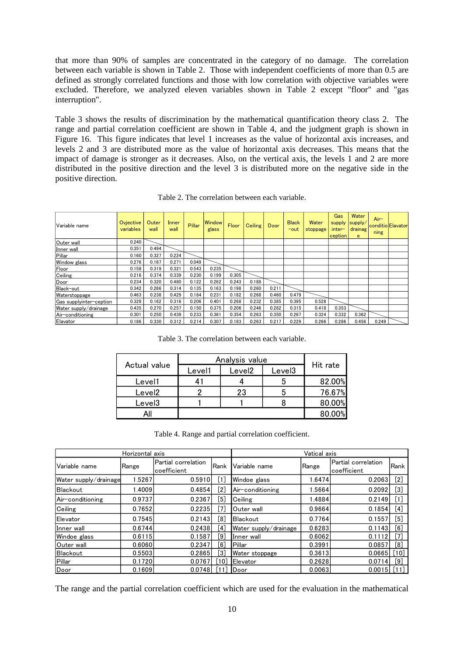that more than 90% of samples are concentrated in the category of no damage. The correlation between each variable is shown in Table 2. Those with independent coefficients of more than 0.5 are defined as strongly correlated functions and those with low correlation with objective variables were excluded. Therefore, we analyzed eleven variables shown in Table 2 except "floor" and "gas interruption".

Table 3 shows the results of discrimination by the mathematical quantification theory class 2. The range and partial correlation coefficient are shown in Table 4, and the judgment graph is shown in Figure 16. This figure indicates that level 1 increases as the value of horizontal axis increases, and levels 2 and 3 are distributed more as the value of horizontal axis decreases. This means that the impact of damage is stronger as it decreases. Also, on the vertical axis, the levels 1 and 2 are more distributed in the positive direction and the level 3 is distributed more on the negative side in the positive direction.

| Variable name           | Ovjective<br>variables | Outer<br>wall | Inner<br>wall | Pillar | <b>Window</b><br>glass | Floor | <b>Ceiling</b> | Door  | <b>Black</b><br>$-$ out | Water<br>stoppage | Gas<br>supply<br>$inter-$<br>ception | Water<br>supply/<br>drainag<br>e | $Air-$<br>ning | conditio Elavator |
|-------------------------|------------------------|---------------|---------------|--------|------------------------|-------|----------------|-------|-------------------------|-------------------|--------------------------------------|----------------------------------|----------------|-------------------|
| Outer wall              | 0.240                  |               |               |        |                        |       |                |       |                         |                   |                                      |                                  |                |                   |
| Inner wall              | 0.351                  | 0.494         |               |        |                        |       |                |       |                         |                   |                                      |                                  |                |                   |
| Pillar                  | 0.160                  | 0.327         | 0.224         |        |                        |       |                |       |                         |                   |                                      |                                  |                |                   |
| Window glass            | 0.276                  | 0.167         | 0.271         | 0.049  |                        |       |                |       |                         |                   |                                      |                                  |                |                   |
| Floor                   | 0.158                  | 0.319         | 0.321         | 0.543  | 0.235                  |       |                |       |                         |                   |                                      |                                  |                |                   |
| Ceiling                 | 0.216                  | 0.374         | 0.339         | 0.230  | 0.199                  | 0.305 |                |       |                         |                   |                                      |                                  |                |                   |
| Door                    | 0.234                  | 0.320         | 0.480         | 0.122  | 0.262                  | 0.243 | 0.188          |       |                         |                   |                                      |                                  |                |                   |
| Black-out               | 0.342                  | 0.266         | 0.314         | 0.135  | 0.163                  | 0.198 | 0.260          | 0.211 |                         |                   |                                      |                                  |                |                   |
| Waterstoppage           | 0.463                  | 0.238         | 0.429         | 0.184  | 0.231                  | 0.182 | 0.268          | 0.460 | 0.479                   |                   |                                      |                                  |                |                   |
| Gas supplyinter-ception | 0.328                  | 0.162         | 0.316         | 0.206  | 0.401                  | 0.268 | 0.232          | 0.385 | 0.395                   | 0.528             |                                      |                                  |                |                   |
| Water supply/drainage   | 0.435                  | 0.270         | 0.257         | 0.150  | 0.375                  | 0.206 | 0.246          | 0.282 | 0.315                   | 0.418             | 0.353                                |                                  |                |                   |
| Air-conditioning        | 0.301                  | 0.250         | 0.439         | 0.233  | 0.361                  | 0.354 | 0.263          | 0.350 | 0.267                   | 0.324             | 0.332                                | 0.362                            |                |                   |
| Elavator                | 0.186                  | 0.330         | 0.312         | 0.214  | 0.307                  | 0.183 | 0.263          | 0.217 | 0.229                   | 0.266             | 0.286                                | 0.456                            | 0.249          |                   |

Table 2. The correlation between each variable.

Table 3. The correlation between each variable.

| Actual value       | Analysis value | Hit rate           |        |        |
|--------------------|----------------|--------------------|--------|--------|
|                    | Level1         | Level <sub>2</sub> | Level3 |        |
| Level1             |                |                    |        | 82.00% |
| Level <sub>2</sub> |                | 23                 |        | 76.67% |
| Level <sub>3</sub> |                |                    |        | 80.00% |
|                    |                |                    |        |        |

Table 4. Range and partial correlation coefficient.

|                       | Horizontal axis | Vatical axis                       |      |                       |        |                                    |                                                                                                                                                                |
|-----------------------|-----------------|------------------------------------|------|-----------------------|--------|------------------------------------|----------------------------------------------------------------------------------------------------------------------------------------------------------------|
| Variable name         | Range           | Partial correlation<br>coefficient | Rank | Variable name         | Range  | Partial correlation<br>coefficient | Rank                                                                                                                                                           |
| Water supply/drainage | 1.5267          | 0.5910                             | .1.  | Windoe glass          | 1.6474 | 0.2063                             | $[2] % \includegraphics[width=0.9\columnwidth]{figures/fig_10.pdf} \caption{The figure shows the number of parameters in the left and right.} \label{fig:2} %$ |
| Blackout              | 1.4009          | 0.4854                             | [2]  | Air-conditioning      | 1.5664 | 0.2092                             | $[3]$                                                                                                                                                          |
| Air-conditioning      | 0.9737          | 0.2367                             | [5]  | Ceiling               | 1.4884 | 0.2149                             | $[1]$                                                                                                                                                          |
| Ceiling               | 0.7652          | 0.2235                             | [7]  | Outer wall            | 0.9664 | 0.1854                             | [4]                                                                                                                                                            |
| Elevator              | 0.7545          | 0.2143                             | [8]  | <b>Blackout</b>       | 0.7764 | 0.1557                             | [5]                                                                                                                                                            |
| Inner wall            | 0.6744          | 0.2438                             | [4]  | Water supply/drainage | 0.6283 | 0.1143                             | [6]                                                                                                                                                            |
| Windoe glass          | 0.6115          | 0.1587                             | [9]  | Inner wall            | 0.6062 | 0.1112                             | [7]                                                                                                                                                            |
| Outer wall            | 0.6060          | 0.2347                             | [6]  | Pillar                | 0.3991 | 0.0857                             | [8]                                                                                                                                                            |
| Blackout              | 0.5503          | 0.2865                             | [3]  | Water stoppage        | 0.3613 | 0.0665                             | [10]                                                                                                                                                           |
| Pillar                | 0.1720          | 0.0767                             | 10   | Elevator              | 0.2628 | 0.0714                             | [9]                                                                                                                                                            |
| Door                  | 0.1609          | 0.0748                             |      | Door                  | 0.0063 | 0.0015                             |                                                                                                                                                                |

The range and the partial correlation coefficient which are used for the evaluation in the mathematical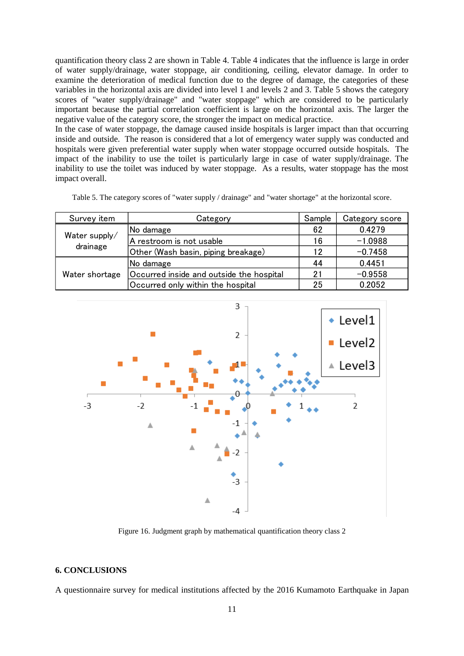quantification theory class 2 are shown in Table 4. Table 4 indicates that the influence is large in order of water supply/drainage, water stoppage, air conditioning, ceiling, elevator damage. In order to examine the deterioration of medical function due to the degree of damage, the categories of these variables in the horizontal axis are divided into level 1 and levels 2 and 3. Table 5 shows the category scores of "water supply/drainage" and "water stoppage" which are considered to be particularly important because the partial correlation coefficient is large on the horizontal axis. The larger the negative value of the category score, the stronger the impact on medical practice.

In the case of water stoppage, the damage caused inside hospitals is larger impact than that occurring inside and outside. The reason is considered that a lot of emergency water supply was conducted and hospitals were given preferential water supply when water stoppage occurred outside hospitals. The impact of the inability to use the toilet is particularly large in case of water supply/drainage. The inability to use the toilet was induced by water stoppage. As a results, water stoppage has the most impact overall.

|  |  |  | Table 5. The category scores of "water supply / drainage" and "water shortage" at the horizontal score. |  |  |
|--|--|--|---------------------------------------------------------------------------------------------------------|--|--|
|  |  |  |                                                                                                         |  |  |

| Survey item    | Category                                 | Sample | Category score |
|----------------|------------------------------------------|--------|----------------|
|                | No damage                                | 62     | 0.4279         |
| Water supply/  | A restroom is not usable                 | 16     | $-1.0988$      |
| drainage       | Other (Wash basin, piping breakage)      | 12     | $-0.7458$      |
|                | No damage                                | 44     | 0.4451         |
| Water shortage | Occurred inside and outside the hospital | 21     | $-0.9558$      |
|                | Occurred only within the hospital        | 25     | 0.2052         |



Figure 16. Judgment graph by mathematical quantification theory class 2

#### **6. CONCLUSIONS**

A questionnaire survey for medical institutions affected by the 2016 Kumamoto Earthquake in Japan